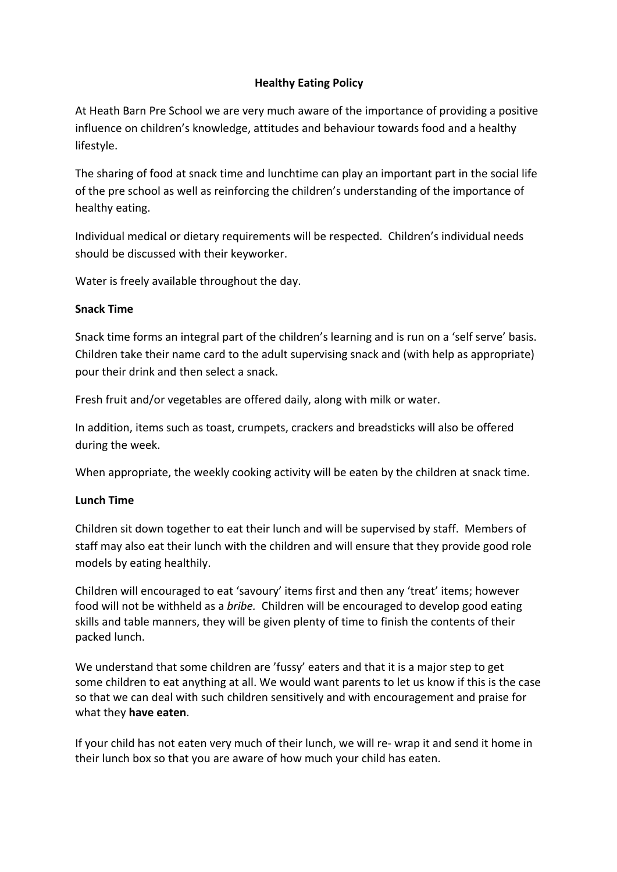# **Healthy Eating Policy**

At Heath Barn Pre School we are very much aware of the importance of providing a positive influence on children's knowledge, attitudes and behaviour towards food and a healthy lifestyle.

The sharing of food at snack time and lunchtime can play an important part in the social life of the pre school as well as reinforcing the children's understanding of the importance of healthy eating.

Individual medical or dietary requirements will be respected. Children's individual needs should be discussed with their keyworker.

Water is freely available throughout the day.

## **Snack Time**

Snack time forms an integral part of the children's learning and is run on a 'self serve' basis. Children take their name card to the adult supervising snack and (with help as appropriate) pour their drink and then select a snack.

Fresh fruit and/or vegetables are offered daily, along with milk or water.

In addition, items such as toast, crumpets, crackers and breadsticks will also be offered during the week.

When appropriate, the weekly cooking activity will be eaten by the children at snack time.

## **Lunch Time**

Children sit down together to eat their lunch and will be supervised by staff. Members of staff may also eat their lunch with the children and will ensure that they provide good role models by eating healthily.

Children will encouraged to eat 'savoury' items first and then any 'treat' items; however food will not be withheld as a *bribe.* Children will be encouraged to develop good eating skills and table manners, they will be given plenty of time to finish the contents of their packed lunch.

We understand that some children are 'fussy' eaters and that it is a major step to get some children to eat anything at all. We would want parents to let us know if this is the case so that we can deal with such children sensitively and with encouragement and praise for what they **have eaten**.

If your child has not eaten very much of their lunch, we will re- wrap it and send it home in their lunch box so that you are aware of how much your child has eaten.